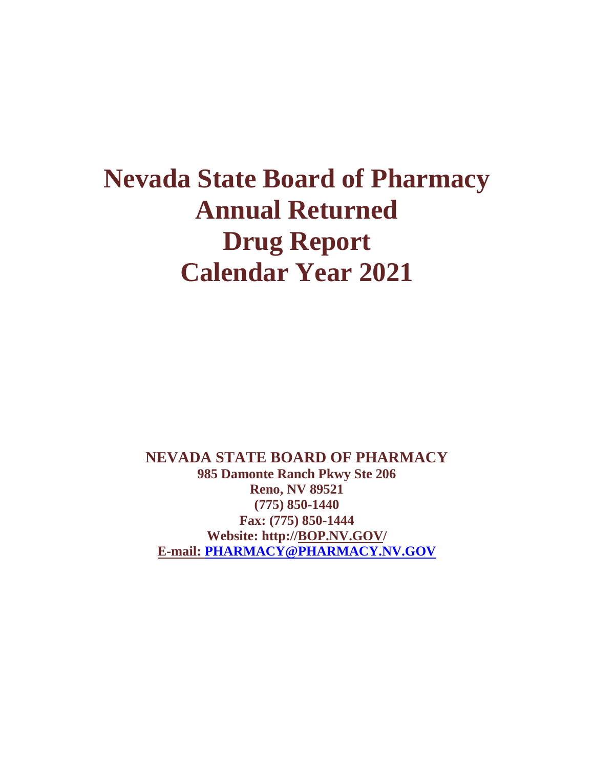# **Nevada State Board of Pharmacy Annual Returned Drug Report Calendar Year 2021**

**NEVADA STATE BOARD OF PHARMACY 985 Damonte Ranch Pkwy Ste 206 Reno, NV 89521 (775) 850-1440 Fax: (775) 850-1444 Website: http:/[/BOP.NV.GOV/](http://bop.nv.gov/) E-mail: [PHARMACY@PHARMACY.NV.GOV](mailto:PHARMACY@PHARMACY.NV.GOV)**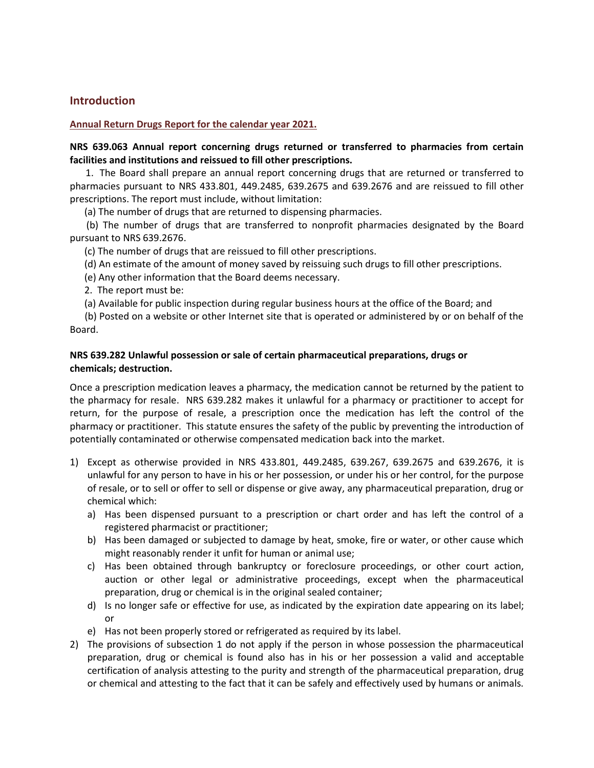# **Introduction**

#### **Annual Return Drugs Report for the calendar year 2021.**

# **NRS 639.063 Annual report concerning drugs returned or transferred to pharmacies from certain facilities and institutions and reissued to fill other prescriptions.**

 1. The Board shall prepare an annual report concerning drugs that are returned or transferred to pharmacies pursuant to [NRS 433.801,](http://leg.state.nv.us/NRS/NRS-433.html#NRS433Sec801) [449.2485,](http://leg.state.nv.us/NRS/NRS-449.html#NRS449Sec2485) [639.2675](http://leg.state.nv.us/NRS/NRS-639.html#NRS639Sec2675) and [639.2676](http://leg.state.nv.us/NRS/NRS-639.html#NRS639Sec2676) and are reissued to fill other prescriptions. The report must include, without limitation:

(a) The number of drugs that are returned to dispensing pharmacies.

 (b) The number of drugs that are transferred to nonprofit pharmacies designated by the Board pursuant t[o NRS 639.2676.](http://leg.state.nv.us/NRS/NRS-639.html#NRS639Sec2676)

(c) The number of drugs that are reissued to fill other prescriptions.

- (d) An estimate of the amount of money saved by reissuing such drugs to fill other prescriptions.
- (e) Any other information that the Board deems necessary.
- 2. The report must be:

(a) Available for public inspection during regular business hours at the office of the Board; and

 (b) Posted on a website or other Internet site that is operated or administered by or on behalf of the Board.

# **NRS 639.282 Unlawful possession or sale of certain pharmaceutical preparations, drugs or chemicals; destruction.**

Once a prescription medication leaves a pharmacy, the medication cannot be returned by the patient to the pharmacy for resale. NRS 639.282 makes it unlawful for a pharmacy or practitioner to accept for return, for the purpose of resale, a prescription once the medication has left the control of the pharmacy or practitioner. This statute ensures the safety of the public by preventing the introduction of potentially contaminated or otherwise compensated medication back into the market.

- 1) Except as otherwise provided in [NRS 433.801,](http://www.leg.state.nv.us/Nrs/NRS-433.html#NRS433Sec801) [449.2485,](http://www.leg.state.nv.us/Nrs/NRS-449.html#NRS449Sec2485) [639.267,](http://www.leg.state.nv.us/Nrs/NRS-639.html#NRS639Sec267) [639.2675](http://www.leg.state.nv.us/Nrs/NRS-639.html#NRS639Sec2675) and [639.2676,](http://www.leg.state.nv.us/Nrs/NRS-639.html#NRS639Sec2676) it is unlawful for any person to have in his or her possession, or under his or her control, for the purpose of resale, or to sell or offer to sell or dispense or give away, any pharmaceutical preparation, drug or chemical which:
	- a) Has been dispensed pursuant to a prescription or chart order and has left the control of a registered pharmacist or practitioner;
	- b) Has been damaged or subjected to damage by heat, smoke, fire or water, or other cause which might reasonably render it unfit for human or animal use;
	- c) Has been obtained through bankruptcy or foreclosure proceedings, or other court action, auction or other legal or administrative proceedings, except when the pharmaceutical preparation, drug or chemical is in the original sealed container;
	- d) Is no longer safe or effective for use, as indicated by the expiration date appearing on its label; or
	- e) Has not been properly stored or refrigerated as required by its label.
- 2) The provisions of subsection 1 do not apply if the person in whose possession the pharmaceutical preparation, drug or chemical is found also has in his or her possession a valid and acceptable certification of analysis attesting to the purity and strength of the pharmaceutical preparation, drug or chemical and attesting to the fact that it can be safely and effectively used by humans or animals.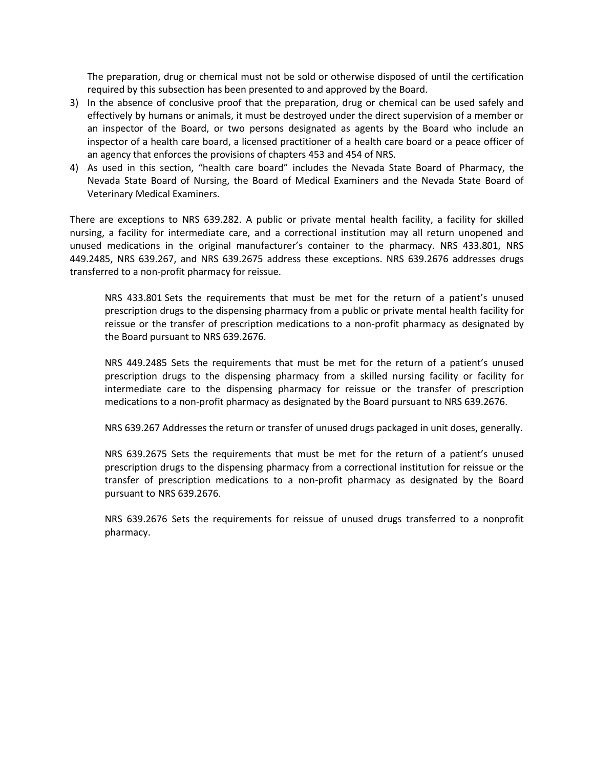The preparation, drug or chemical must not be sold or otherwise disposed of until the certification required by this subsection has been presented to and approved by the Board.

- 3) In the absence of conclusive proof that the preparation, drug or chemical can be used safely and effectively by humans or animals, it must be destroyed under the direct supervision of a member or an inspector of the Board, or two persons designated as agents by the Board who include an inspector of a health care board, a licensed practitioner of a health care board or a peace officer of an agency that enforces the provisions o[f chapters 453](http://www.leg.state.nv.us/Nrs/NRS-453.html#NRS453) an[d 454](http://www.leg.state.nv.us/Nrs/NRS-454.html#NRS454) of NRS.
- 4) As used in this section, "health care board" includes the Nevada State Board of Pharmacy, the Nevada State Board of Nursing, the Board of Medical Examiners and the Nevada State Board of Veterinary Medical Examiners.

There are exceptions to NRS 639.282. A public or private mental health facility, a facility for skilled nursing, a facility for intermediate care, and a correctional institution may all return unopened and unused medications in the original manufacturer's container to the pharmacy. NRS 433.801, NRS 449.2485, NRS 639.267, and NRS 639.2675 address these exceptions. NRS 639.2676 addresses drugs transferred to a non-profit pharmacy for reissue.

NRS 433.801 Sets the requirements that must be met for the return of a patient's unused prescription drugs to the dispensing pharmacy from a public or private mental health facility for reissue or the transfer of prescription medications to a non-profit pharmacy as designated by the Board pursuant to NRS 639.2676.

NRS 449.2485 Sets the requirements that must be met for the return of a patient's unused prescription drugs to the dispensing pharmacy from a skilled nursing facility or facility for intermediate care to the dispensing pharmacy for reissue or the transfer of prescription medications to a non-profit pharmacy as designated by the Board pursuant to NRS 639.2676.

NRS 639.267 Addresses the return or transfer of unused drugs packaged in unit doses, generally.

NRS 639.2675 Sets the requirements that must be met for the return of a patient's unused prescription drugs to the dispensing pharmacy from a correctional institution for reissue or the transfer of prescription medications to a non-profit pharmacy as designated by the Board pursuant to NRS 639.2676.

NRS 639.2676 Sets the requirements for reissue of unused drugs transferred to a nonprofit pharmacy.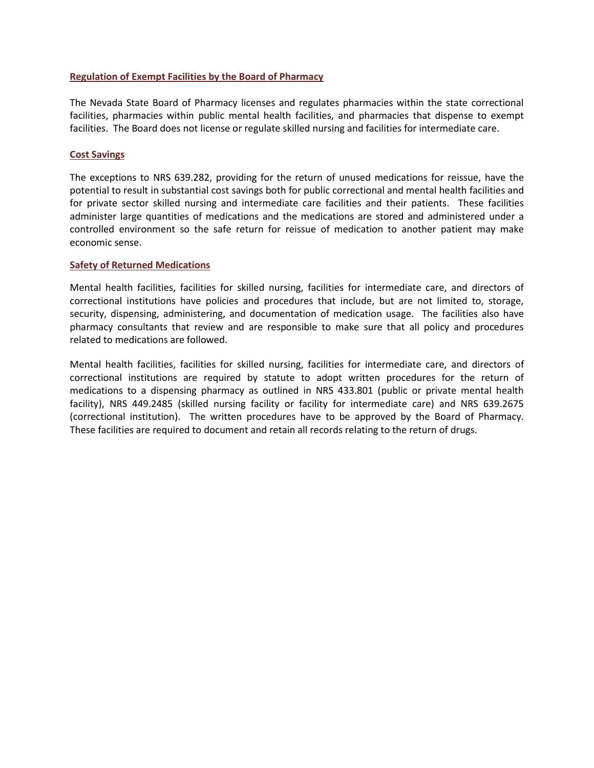#### **Regulation of Exempt Facilities by the Board of Pharmacy**

The Nevada State Board of Pharmacy licenses and regulates pharmacies within the state correctional facilities, pharmacies within public mental health facilities, and pharmacies that dispense to exempt facilities. The Board does not license or regulate skilled nursing and facilities for intermediate care.

#### **Cost Savings**

The exceptions to NRS 639.282, providing for the return of unused medications for reissue, have the potential to result in substantial cost savings both for public correctional and mental health facilities and for private sector skilled nursing and intermediate care facilities and their patients. These facilities administer large quantities of medications and the medications are stored and administered under a controlled environment so the safe return for reissue of medication to another patient may make economic sense.

#### **Safety of Returned Medications**

Mental health facilities, facilities for skilled nursing, facilities for intermediate care, and directors of correctional institutions have policies and procedures that include, but are not limited to, storage, security, dispensing, administering, and documentation of medication usage. The facilities also have pharmacy consultants that review and are responsible to make sure that all policy and procedures related to medications are followed.

Mental health facilities, facilities for skilled nursing, facilities for intermediate care, and directors of correctional institutions are required by statute to adopt written procedures for the return of medications to a dispensing pharmacy as outlined in NRS 433.801 (public or private mental health facility), NRS 449.2485 (skilled nursing facility or facility for intermediate care) and NRS 639.2675 (correctional institution). The written procedures have to be approved by the Board of Pharmacy. These facilities are required to document and retain all records relating to the return of drugs.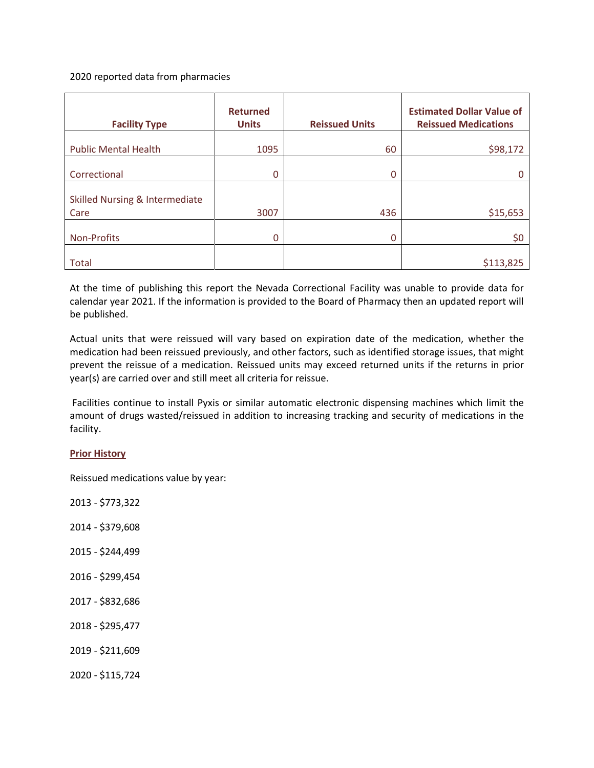## 2020 reported data from pharmacies

| <b>Facility Type</b>           | <b>Returned</b><br><b>Units</b> | <b>Reissued Units</b> | <b>Estimated Dollar Value of</b><br><b>Reissued Medications</b> |
|--------------------------------|---------------------------------|-----------------------|-----------------------------------------------------------------|
| <b>Public Mental Health</b>    | 1095                            | 60                    | \$98,172                                                        |
| Correctional                   | 0                               | <sup>0</sup>          |                                                                 |
| Skilled Nursing & Intermediate |                                 |                       |                                                                 |
| Care                           | 3007                            | 436                   | \$15,653                                                        |
| Non-Profits                    | 0                               | $\Omega$              | \$0                                                             |
| <b>Total</b>                   |                                 |                       | \$113,825                                                       |

At the time of publishing this report the Nevada Correctional Facility was unable to provide data for calendar year 2021. If the information is provided to the Board of Pharmacy then an updated report will be published.

Actual units that were reissued will vary based on expiration date of the medication, whether the medication had been reissued previously, and other factors, such as identified storage issues, that might prevent the reissue of a medication. Reissued units may exceed returned units if the returns in prior year(s) are carried over and still meet all criteria for reissue.

Facilities continue to install Pyxis or similar automatic electronic dispensing machines which limit the amount of drugs wasted/reissued in addition to increasing tracking and security of medications in the facility.

## **Prior History**

Reissued medications value by year:

2013 - \$773,322 2014 - \$379,608 2015 - \$244,499 2016 - \$299,454 2017 - \$832,686 2018 - \$295,477 2019 - \$211,609 2020 - \$115,724